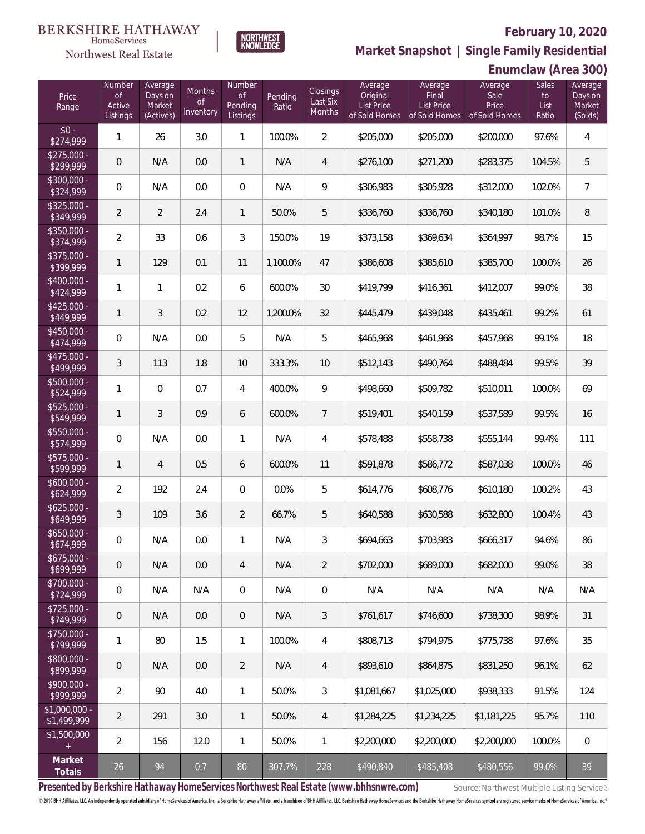**Enumclaw (Area 300)**



**Market Snapshot | Single Family Residential**

#### **BERKSHIRE HATHAWAY** HomeServices

Northwest Real Estate

| Price<br>Range                | Number<br>of<br>Active<br>Listings | Average<br>Days on<br>Market<br>(Actives) | Months<br><b>of</b><br>Inventory | Number<br><b>of</b><br>Pending<br>Listings | Pending<br>Ratio | Closings<br>Last Six<br>Months | Average<br>Original<br>List Price<br>of Sold Homes | Average<br>Final<br><b>List Price</b><br>of Sold Homes | Average<br>Sale<br>Price<br>of Sold Homes | <b>Sales</b><br>to<br>List<br>Ratio | Average<br>Days on<br>Market<br>(Solds) |
|-------------------------------|------------------------------------|-------------------------------------------|----------------------------------|--------------------------------------------|------------------|--------------------------------|----------------------------------------------------|--------------------------------------------------------|-------------------------------------------|-------------------------------------|-----------------------------------------|
| $$0 -$<br>\$274,999           | $\mathbf{1}$                       | 26                                        | 3.0                              | $\mathbf{1}$                               | 100.0%           | $\overline{2}$                 | \$205,000                                          | \$205,000                                              | \$200,000                                 | 97.6%                               | 4                                       |
| $$275,000 -$<br>\$299,999     | $\mathbf 0$                        | N/A                                       | 0.0                              | $\mathbf{1}$                               | N/A              | $\overline{4}$                 | \$276,100                                          | \$271,200                                              | \$283,375                                 | 104.5%                              | 5                                       |
| \$300,000 -<br>\$324,999      | $\mathbf 0$                        | N/A                                       | 0.0                              | $\overline{0}$                             | N/A              | 9                              | \$306,983                                          | \$305,928                                              | \$312,000                                 | 102.0%                              | $\overline{7}$                          |
| $$325,000 -$<br>\$349,999     | $\overline{2}$                     | $\overline{2}$                            | 2.4                              | $\mathbf{1}$                               | 50.0%            | 5                              | \$336,760                                          | \$336,760                                              | \$340,180                                 | 101.0%                              | $\, 8$                                  |
| $$350,000 -$<br>\$374,999     | $\overline{2}$                     | 33                                        | 0.6                              | 3                                          | 150.0%           | 19                             | \$373,158                                          | \$369,634                                              | \$364,997                                 | 98.7%                               | 15                                      |
| $$375,000 -$<br>\$399,999     | $\mathbf{1}$                       | 129                                       | 0.1                              | 11                                         | 1,100.0%         | 47                             | \$386,608                                          | \$385,610                                              | \$385,700                                 | 100.0%                              | 26                                      |
| \$400,000 -<br>\$424,999      | $\mathbf{1}$                       | $\mathbf{1}$                              | 0.2                              | 6                                          | 600.0%           | 30                             | \$419,799                                          | \$416,361                                              | \$412,007                                 | 99.0%                               | 38                                      |
| $$425,000 -$<br>\$449,999     | $\mathbf{1}$                       | 3                                         | 0.2                              | 12                                         | 1,200.0%         | 32                             | \$445,479                                          | \$439,048                                              | \$435,461                                 | 99.2%                               | 61                                      |
| $$450,000 -$<br>\$474,999     | $\overline{0}$                     | N/A                                       | 0.0                              | 5                                          | N/A              | 5                              | \$465,968                                          | \$461,968                                              | \$457,968                                 | 99.1%                               | 18                                      |
| $$475,000 -$<br>\$499,999     | $\mathfrak{Z}$                     | 113                                       | 1.8                              | 10                                         | 333.3%           | 10                             | \$512,143                                          | \$490,764                                              | \$488,484                                 | 99.5%                               | 39                                      |
| $$500,000 -$<br>\$524,999     | 1                                  | $\overline{0}$                            | 0.7                              | 4                                          | 400.0%           | 9                              | \$498,660                                          | \$509,782                                              | \$510,011                                 | 100.0%                              | 69                                      |
| $$525,000 -$<br>\$549,999     | $\mathbf{1}$                       | 3                                         | 0.9                              | 6                                          | 600.0%           | $\overline{7}$                 | \$519,401                                          | \$540,159                                              | \$537,589                                 | 99.5%                               | 16                                      |
| $$550,000 -$<br>\$574,999     | $\mathbf 0$                        | N/A                                       | 0.0                              | 1                                          | N/A              | $\overline{4}$                 | \$578,488                                          | \$558,738                                              | \$555,144                                 | 99.4%                               | 111                                     |
| $$575,000 -$<br>\$599,999     | $\mathbf{1}$                       | $\overline{4}$                            | 0.5                              | 6                                          | 600.0%           | 11                             | \$591,878                                          | \$586,772                                              | \$587,038                                 | 100.0%                              | 46                                      |
| $$600,000 -$<br>\$624,999     | $\overline{2}$                     | 192                                       | 2.4                              | $\overline{0}$                             | 0.0%             | 5                              | \$614,776                                          | \$608,776                                              | \$610,180                                 | 100.2%                              | 43                                      |
| $$625,000 -$<br>\$649,999     | $\mathfrak{Z}$                     | 109                                       | 3.6                              | $\overline{2}$                             | 66.7%            | 5                              | \$640,588                                          | \$630,588                                              | \$632,800                                 | 100.4%                              | 43                                      |
| $$650,000 -$<br>\$674,999     | $\mathbf 0$                        | N/A                                       | 0.0                              | $\mathbf{1}$                               | N/A              | $\mathfrak{Z}$                 | \$694,663                                          | \$703,983                                              | \$666,317                                 | 94.6%                               | 86                                      |
| \$675,000 -<br>\$699,999      | $\theta$                           | N/A                                       | 0.0                              | 4                                          | N/A              | $\overline{2}$                 | \$702,000                                          | \$689,000                                              | \$682,000                                 | 99.0%                               | 38                                      |
| \$700,000 -<br>\$724,999      | $\mathbf 0$                        | N/A                                       | N/A                              | 0                                          | N/A              | $\mathbf 0$                    | N/A                                                | N/A                                                    | N/A                                       | N/A                                 | N/A                                     |
| $$725,000 -$<br>\$749,999     | $\mathbf{0}$                       | N/A                                       | 0.0                              | $\theta$                                   | N/A              | $\mathfrak{Z}$                 | \$761,617                                          | \$746,600                                              | \$738,300                                 | 98.9%                               | 31                                      |
| \$750,000 -<br>\$799,999      | $\mathbf{1}$                       | 80                                        | 1.5                              | $\mathbf{1}$                               | 100.0%           | $\overline{4}$                 | \$808,713                                          | \$794,975                                              | \$775,738                                 | 97.6%                               | 35                                      |
| \$800,000 -<br>\$899,999      | $\mathbf{0}$                       | N/A                                       | $0.0\,$                          | $\overline{2}$                             | N/A              | $\overline{4}$                 | \$893,610                                          | \$864,875                                              | \$831,250                                 | 96.1%                               | 62                                      |
| \$900,000 -<br>\$999,999      | $\overline{2}$                     | 90                                        | 4.0                              | $\mathbf{1}$                               | 50.0%            | $\mathfrak{Z}$                 | \$1,081,667                                        | \$1,025,000                                            | \$938,333                                 | 91.5%                               | 124                                     |
| $$1,000,000 -$<br>\$1,499,999 | $\overline{2}$                     | 291                                       | 3.0                              | $\mathbf{1}$                               | 50.0%            | $\overline{4}$                 | \$1,284,225                                        | \$1,234,225                                            | \$1,181,225                               | 95.7%                               | 110                                     |
| \$1,500,000<br>$\pm$          | $\overline{2}$                     | 156                                       | 12.0                             | $\mathbf{1}$                               | 50.0%            | $\mathbf{1}$                   | \$2,200,000                                        | \$2,200,000                                            | \$2,200,000                               | 100.0%                              | 0                                       |
| Market<br>Totals              | $26\,$                             | 94                                        | 0.7                              | $80\,$                                     | 307.7%           | 228                            | \$490,840                                          | \$485,408                                              | \$480,556                                 | 99.0%                               | 39                                      |

Presented by Berkshire Hathaway HomeServices Northwest Real Estate (www.bhhsnwre.com) Source: Northwest Multiple Listing Service®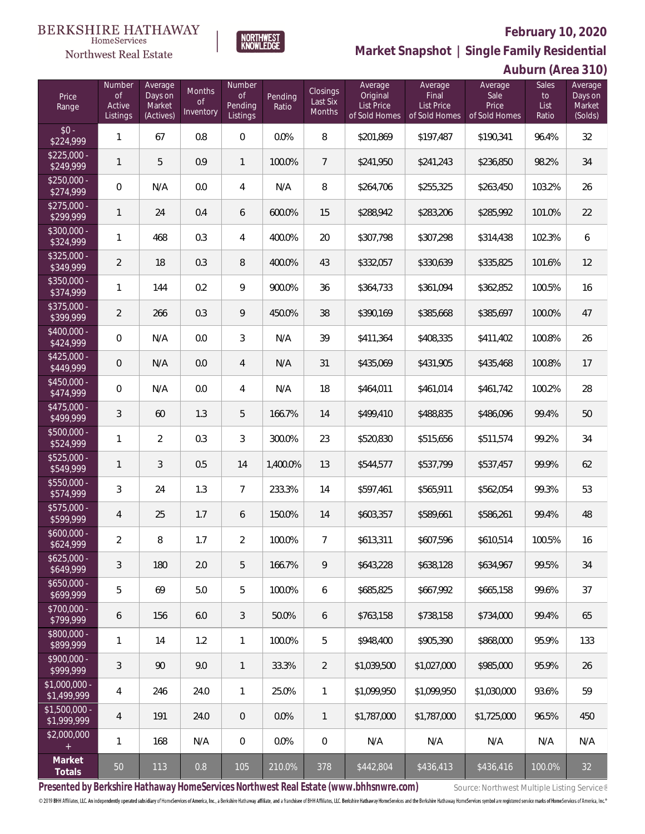**Auburn (Area 310)**



**Market Snapshot | Single Family Residential**

#### $\label{lem:sevices} \textsc{Home} \textsc{Service} \textsc{s}$ Northwest Real Estate

| Price<br>Range                | Number<br><b>of</b><br>Active<br>Listings | Average<br>Days on<br>Market<br>(Actives) | Months<br><b>of</b><br>Inventory | Number<br>of<br>Pending<br>Listings | Pending<br>Ratio | Closings<br>Last Six<br>Months | Average<br>Original<br>List Price<br>of Sold Homes | Average<br>Final<br>List Price<br>of Sold Homes | Average<br>Sale<br>Price<br>of Sold Homes | Sales<br>to<br>List<br>Ratio | Average<br>Days on<br>Market<br>(Solds) |
|-------------------------------|-------------------------------------------|-------------------------------------------|----------------------------------|-------------------------------------|------------------|--------------------------------|----------------------------------------------------|-------------------------------------------------|-------------------------------------------|------------------------------|-----------------------------------------|
| $$0 -$<br>\$224,999           | $\mathbf{1}$                              | 67                                        | 0.8                              | 0                                   | 0.0%             | 8                              | \$201,869                                          | \$197,487                                       | \$190,341                                 | 96.4%                        | 32                                      |
| $$225,000 -$<br>\$249,999     | $\mathbf{1}$                              | 5                                         | 0.9                              | $\mathbf{1}$                        | 100.0%           | $\overline{7}$                 | \$241,950                                          | \$241,243                                       | \$236,850                                 | 98.2%                        | 34                                      |
| $$250,000 -$<br>\$274,999     | $\overline{0}$                            | N/A                                       | 0.0                              | $\overline{4}$                      | N/A              | 8                              | \$264,706                                          | \$255,325                                       | \$263,450                                 | 103.2%                       | 26                                      |
| $$275,000 -$<br>\$299,999     | $\mathbf{1}$                              | 24                                        | 0.4                              | 6                                   | 600.0%           | 15                             | \$288,942                                          | \$283,206                                       | \$285,992                                 | 101.0%                       | 22                                      |
| \$300,000 -<br>\$324,999      | $\mathbf{1}$                              | 468                                       | 0.3                              | $\overline{4}$                      | 400.0%           | 20                             | \$307,798                                          | \$307,298                                       | \$314,438                                 | 102.3%                       | 6                                       |
| $$325,000 -$<br>\$349,999     | $\overline{2}$                            | 18                                        | 0.3                              | 8                                   | 400.0%           | 43                             | \$332,057                                          | \$330,639                                       | \$335,825                                 | 101.6%                       | 12                                      |
| \$350,000 -<br>\$374,999      | $\mathbf{1}$                              | 144                                       | 0.2                              | 9                                   | 900.0%           | 36                             | \$364,733                                          | \$361,094                                       | \$362,852                                 | 100.5%                       | 16                                      |
| $$375,000 -$<br>\$399,999     | $\overline{2}$                            | 266                                       | 0.3                              | 9                                   | 450.0%           | 38                             | \$390,169                                          | \$385,668                                       | \$385,697                                 | 100.0%                       | 47                                      |
| $$400,000 -$<br>\$424,999     | $\boldsymbol{0}$                          | N/A                                       | 0.0                              | $\mathfrak{Z}$                      | N/A              | 39                             | \$411,364                                          | \$408,335                                       | \$411,402                                 | 100.8%                       | 26                                      |
| $$425,000 -$<br>\$449,999     | $\overline{0}$                            | N/A                                       | 0.0                              | $\overline{4}$                      | N/A              | 31                             | \$435,069                                          | \$431,905                                       | \$435,468                                 | 100.8%                       | 17                                      |
| \$450,000 -<br>\$474,999      | $\overline{0}$                            | N/A                                       | 0.0                              | $\overline{4}$                      | N/A              | 18                             | \$464,011                                          | \$461,014                                       | \$461,742                                 | 100.2%                       | 28                                      |
| $$475,000 -$<br>\$499,999     | $\mathfrak{Z}$                            | 60                                        | 1.3                              | 5                                   | 166.7%           | 14                             | \$499,410                                          | \$488,835                                       | \$486,096                                 | 99.4%                        | 50                                      |
| \$500,000 -<br>\$524,999      | $\mathbf{1}$                              | $\overline{2}$                            | 0.3                              | 3                                   | 300.0%           | 23                             | \$520,830                                          | \$515,656                                       | \$511,574                                 | 99.2%                        | 34                                      |
| \$525,000 -<br>\$549,999      | $\mathbf{1}$                              | 3                                         | 0.5                              | 14                                  | 1,400.0%         | 13                             | \$544,577                                          | \$537,799                                       | \$537,457                                 | 99.9%                        | 62                                      |
| \$550,000 -<br>\$574,999      | $\overline{3}$                            | 24                                        | 1.3                              | $\overline{7}$                      | 233.3%           | 14                             | \$597,461                                          | \$565,911                                       | \$562,054                                 | 99.3%                        | 53                                      |
| \$575,000 -<br>\$599,999      | $\overline{4}$                            | 25                                        | 1.7                              | 6                                   | 150.0%           | 14                             | \$603,357                                          | \$589,661                                       | \$586,261                                 | 99.4%                        | 48                                      |
| $$600,000 -$<br>\$624,999     | $\overline{2}$                            | 8                                         | 1.7                              | $\overline{2}$                      | 100.0%           | $\overline{7}$                 | \$613,311                                          | \$607,596                                       | \$610,514                                 | 100.5%                       | 16                                      |
| $$625,000 -$<br>\$649,999     | 3                                         | 180                                       | 2.0                              | 5                                   | 166.7%           | 9                              | \$643,228                                          | \$638,128                                       | \$634,967                                 | 99.5%                        | 34                                      |
| $$650,000 -$<br>\$699,999     | 5                                         | 69                                        | 5.0                              | 5                                   | 100.0%           | 6                              | \$685,825                                          | \$667,992                                       | \$665,158                                 | 99.6%                        | 37                                      |
| \$700,000 -<br>\$799,999      | 6                                         | 156                                       | 6.0                              | 3                                   | 50.0%            | 6                              | \$763,158                                          | \$738,158                                       | \$734,000                                 | 99.4%                        | 65                                      |
| \$800,000 -<br>\$899,999      | 1                                         | 14                                        | 1.2                              | $\mathbf{1}$                        | 100.0%           | 5                              | \$948,400                                          | \$905,390                                       | \$868,000                                 | 95.9%                        | 133                                     |
| \$900,000 -<br>\$999,999      | 3                                         | 90                                        | 9.0                              | 1                                   | 33.3%            | $\overline{2}$                 | \$1,039,500                                        | \$1,027,000                                     | \$985,000                                 | 95.9%                        | 26                                      |
| $$1,000,000 -$<br>\$1,499,999 | 4                                         | 246                                       | 24.0                             | $\mathbf{1}$                        | 25.0%            | 1                              | \$1,099,950                                        | \$1,099,950                                     | \$1,030,000                               | 93.6%                        | 59                                      |
| $$1,500,000 -$<br>\$1,999,999 | 4                                         | 191                                       | 24.0                             | 0                                   | 0.0%             | $\mathbf{1}$                   | \$1,787,000                                        | \$1,787,000                                     | \$1,725,000                               | 96.5%                        | 450                                     |
| \$2,000,000<br>$+$            | $\mathbf{1}$                              | 168                                       | N/A                              | $\boldsymbol{0}$                    | 0.0%             | $\,0\,$                        | N/A                                                | N/A                                             | N/A                                       | N/A                          | N/A                                     |
| Market<br>Totals              | 50                                        | 113                                       | 0.8                              | 105                                 | 210.0%           | 378                            | \$442,804                                          | \$436,413                                       | \$436,416                                 | 100.0%                       | 32                                      |

Presented by Berkshire Hathaway HomeServices Northwest Real Estate (www.bhhsnwre.com) Source: Northwest Multiple Listing Service®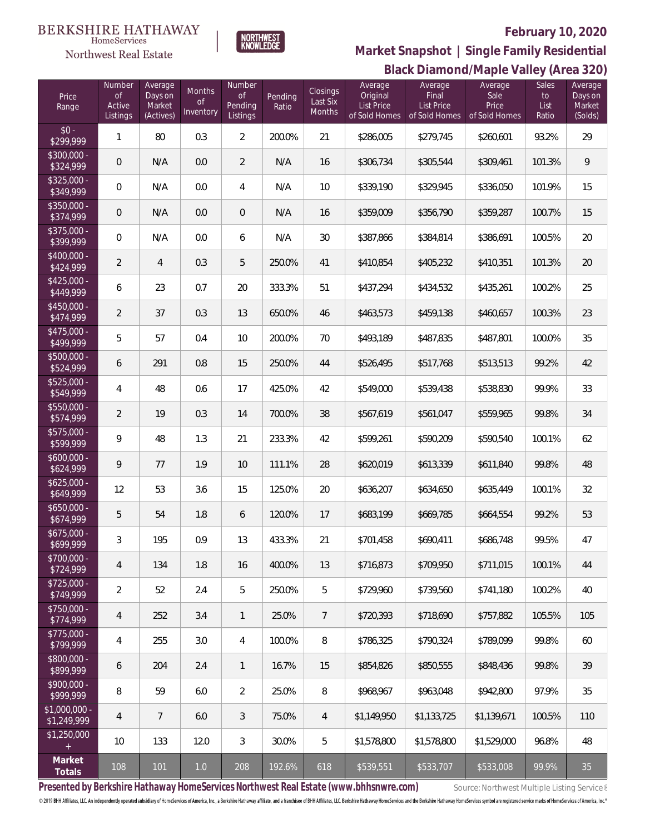#### **BERKSHIRE HATHAWAY**  $\label{lem:sevices} \textsc{Home} \textsc{Service} \textsc{s}$

### Northwest Real Estate

## **February 10, 2020**



# **Black Diamond/Maple Valley (Area 320) Market Snapshot | Single Family Residential**

| Price<br>Range                | Number<br><b>of</b><br>Active<br>Listings | Average<br>Days on<br>Market<br>(Actives) | <b>Months</b><br>$\circ f$<br>Inventory | Number<br>$\mathsf{of}$<br>Pending<br>Listings | Pending<br>Ratio | Closings<br>Last Six<br>Months | Average<br>Original<br><b>List Price</b><br>of Sold Homes | Average<br>Final<br><b>List Price</b><br>of Sold Homes | Average<br>Sale<br>Price<br>of Sold Homes | Sales<br>to<br>List<br>Ratio | Average<br>Days on<br>Market<br>(Solds) |
|-------------------------------|-------------------------------------------|-------------------------------------------|-----------------------------------------|------------------------------------------------|------------------|--------------------------------|-----------------------------------------------------------|--------------------------------------------------------|-------------------------------------------|------------------------------|-----------------------------------------|
| $$0 -$<br>\$299,999           | $\mathbf{1}$                              | 80                                        | 0.3                                     | $\overline{2}$                                 | 200.0%           | 21                             | \$286,005                                                 | \$279,745                                              | \$260,601                                 | 93.2%                        | 29                                      |
| $$300,000 -$<br>\$324,999     | $\mathbf 0$                               | N/A                                       | 0.0                                     | $\overline{2}$                                 | N/A              | 16                             | \$306,734                                                 | \$305,544                                              | \$309,461                                 | 101.3%                       | 9                                       |
| $$325,000 -$<br>\$349,999     | 0                                         | N/A                                       | 0.0                                     | $\overline{4}$                                 | N/A              | 10                             | \$339,190                                                 | \$329,945                                              | \$336,050                                 | 101.9%                       | 15                                      |
| $$350,000 -$<br>\$374,999     | $\mathbf 0$                               | N/A                                       | 0.0                                     | $\mathbf 0$                                    | N/A              | 16                             | \$359,009                                                 | \$356,790                                              | \$359,287                                 | 100.7%                       | 15                                      |
| $$375,000 -$<br>\$399,999     | 0                                         | N/A                                       | 0.0                                     | 6                                              | N/A              | 30                             | \$387,866                                                 | \$384,814                                              | \$386,691                                 | 100.5%                       | $20\,$                                  |
| $$400,000 -$<br>\$424,999     | $\overline{2}$                            | $\overline{4}$                            | 0.3                                     | 5                                              | 250.0%           | 41                             | \$410,854                                                 | \$405,232                                              | \$410,351                                 | 101.3%                       | $20\,$                                  |
| $$425,000 -$<br>\$449,999     | 6                                         | 23                                        | 0.7                                     | 20                                             | 333.3%           | 51                             | \$437,294                                                 | \$434,532                                              | \$435,261                                 | 100.2%                       | 25                                      |
| $$450,000 -$<br>\$474,999     | $\overline{2}$                            | 37                                        | 0.3                                     | 13                                             | 650.0%           | 46                             | \$463,573                                                 | \$459,138                                              | \$460,657                                 | 100.3%                       | 23                                      |
| $$475,000 -$<br>\$499,999     | 5                                         | 57                                        | 0.4                                     | 10                                             | 200.0%           | 70                             | \$493,189                                                 | \$487,835                                              | \$487,801                                 | 100.0%                       | 35                                      |
| $$500,000 -$<br>\$524,999     | 6                                         | 291                                       | 0.8                                     | 15                                             | 250.0%           | 44                             | \$526,495                                                 | \$517,768                                              | \$513,513                                 | 99.2%                        | 42                                      |
| $$525,000 -$<br>\$549,999     | 4                                         | 48                                        | 0.6                                     | 17                                             | 425.0%           | 42                             | \$549,000                                                 | \$539,438                                              | \$538,830                                 | 99.9%                        | 33                                      |
| $$550,000 -$<br>\$574,999     | $\overline{2}$                            | 19                                        | 0.3                                     | 14                                             | 700.0%           | 38                             | \$567,619                                                 | \$561,047                                              | \$559,965                                 | 99.8%                        | 34                                      |
| $$575,000 -$<br>\$599,999     | 9                                         | 48                                        | 1.3                                     | 21                                             | 233.3%           | 42                             | \$599,261                                                 | \$590,209                                              | \$590,540                                 | 100.1%                       | 62                                      |
| $$600,000 -$<br>\$624,999     | 9                                         | 77                                        | 1.9                                     | 10                                             | 111.1%           | 28                             | \$620,019                                                 | \$613,339                                              | \$611,840                                 | 99.8%                        | 48                                      |
| $$625,000 -$<br>\$649,999     | 12                                        | 53                                        | 3.6                                     | 15                                             | 125.0%           | 20                             | \$636,207                                                 | \$634,650                                              | \$635,449                                 | 100.1%                       | 32                                      |
| $$650,000 -$<br>\$674,999     | 5                                         | 54                                        | 1.8                                     | 6                                              | 120.0%           | 17                             | \$683,199                                                 | \$669,785                                              | \$664,554                                 | 99.2%                        | 53                                      |
| \$675,000 -<br>\$699,999      | $\mathfrak{Z}$                            | 195                                       | 0.9                                     | 13                                             | 433.3%           | 21                             | \$701,458                                                 | \$690,411                                              | \$686,748                                 | 99.5%                        | 47                                      |
| $$700,000 -$<br>\$724,999     | 4                                         | 134                                       | 1.8                                     | 16                                             | 400.0%           | 13                             | \$716,873                                                 | \$709,950                                              | \$711.015                                 | 100.1%                       | 44                                      |
| $$725,000 -$<br>\$749,999     | $\overline{2}$                            | 52                                        | 2.4                                     | 5                                              | 250.0%           | 5                              | \$729,960                                                 | \$739,560                                              | \$741,180                                 | 100.2%                       | 40                                      |
| $$750,000 -$<br>\$774,999     | 4                                         | 252                                       | 3.4                                     | $\mathbf{1}$                                   | 25.0%            | $\overline{7}$                 | \$720.393                                                 | \$718.690                                              | \$757,882                                 | 105.5%                       | 105                                     |
| $$775,000 -$<br>\$799,999     | 4                                         | 255                                       | 3.0                                     | 4                                              | 100.0%           | 8                              | \$786,325                                                 | \$790,324                                              | \$789.099                                 | 99.8%                        | 60                                      |
| $$800,000 -$<br>\$899,999     | 6                                         | 204                                       | 2.4                                     | 1                                              | 16.7%            | 15                             | \$854,826                                                 | \$850,555                                              | \$848.436                                 | 99.8%                        | 39                                      |
| $$900,000 -$<br>\$999,999     | 8                                         | 59                                        | 6.0                                     | $\overline{2}$                                 | 25.0%            | 8                              | \$968,967                                                 | \$963,048                                              | \$942,800                                 | 97.9%                        | 35                                      |
| $$1,000,000 -$<br>\$1,249,999 | $\overline{4}$                            | $\overline{7}$                            | 6.0                                     | 3                                              | 75.0%            | $\overline{4}$                 | \$1,149,950                                               | \$1,133,725                                            | \$1,139,671                               | 100.5%                       | 110                                     |
| \$1,250,000<br>$+$            | 10                                        | 133                                       | 12.0                                    | $\mathfrak{Z}$                                 | 30.0%            | 5                              | \$1,578,800                                               | \$1,578,800                                            | \$1,529,000                               | 96.8%                        | 48                                      |
| Market<br>Totals              | 108                                       | 101                                       | $1.0\,$                                 | 208                                            | 192.6%           | 618                            | \$539,551                                                 | \$533,707                                              | \$533,008                                 | 99.9%                        | $35\,$                                  |

Presented by Berkshire Hathaway HomeServices Northwest Real Estate (www.bhhsnwre.com) Source: Northwest Multiple Listing Service®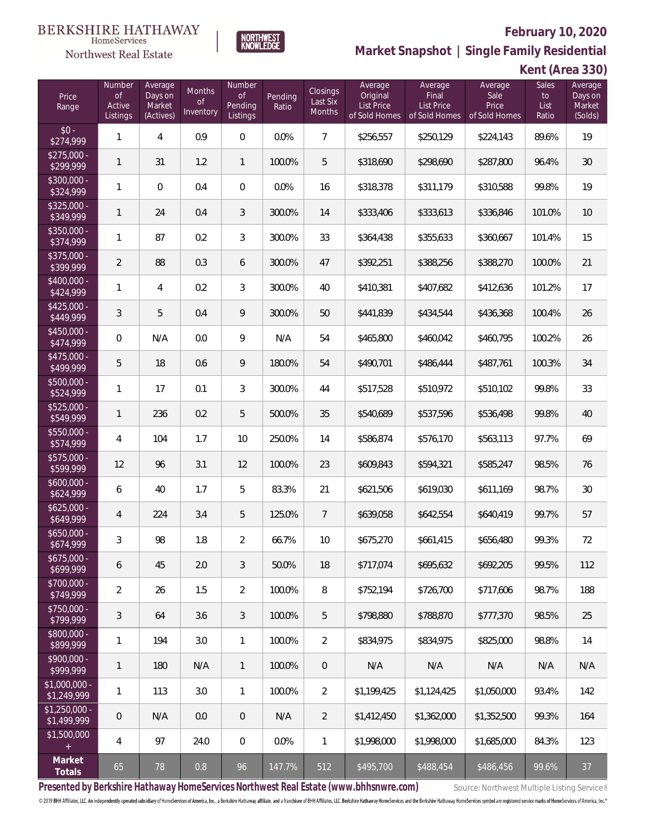

**NORTHWEST**<br>KNOWLEDGE

Northwest Real Estate

**Market Snapshot | Single Family Residential**

**Kent (Area 330)**

| Price<br>Range                | Number<br><b>of</b><br>Active<br>Listings | Average<br>Days on<br>Market<br>(Actives) | Months<br>0f<br>Inventory | Number<br>of<br>Pending<br>Listings | Pending<br>Ratio | <b>Closings</b><br>Last Six<br>Months | Average<br>Original<br>List Price<br>of Sold Homes | Average<br>Final<br>List Price<br>of Sold Homes | Average<br>Sale<br>Price<br>of Sold Homes | <b>Sales</b><br>to<br>List<br>Ratio | Average<br>Days on<br>Market<br>(Solds) |
|-------------------------------|-------------------------------------------|-------------------------------------------|---------------------------|-------------------------------------|------------------|---------------------------------------|----------------------------------------------------|-------------------------------------------------|-------------------------------------------|-------------------------------------|-----------------------------------------|
| $$0 -$<br>\$274,999           | $\mathbf{1}$                              | 4                                         | 0.9                       | $\Omega$                            | 0.0%             | $\overline{7}$                        | \$256,557                                          | \$250,129                                       | \$224,143                                 | 89.6%                               | 19                                      |
| $$275,000 -$<br>\$299,999     | $\mathbf{1}$                              | 31                                        | 1.2                       | $\mathbf{1}$                        | 100.0%           | 5                                     | \$318,690                                          | \$298,690                                       | \$287,800                                 | 96.4%                               | 30                                      |
| \$300,000 -<br>\$324,999      | 1                                         | $\overline{0}$                            | 0.4                       | $\mathbf 0$                         | 0.0%             | 16                                    | \$318,378                                          | \$311,179                                       | \$310,588                                 | 99.8%                               | 19                                      |
| $$325,000 -$<br>\$349,999     | $\mathbf{1}$                              | 24                                        | 0.4                       | 3                                   | 300.0%           | 14                                    | \$333,406                                          | \$333,613                                       | \$336,846                                 | 101.0%                              | 10                                      |
| \$350,000 -<br>\$374,999      | $\mathbf{1}$                              | 87                                        | 0.2                       | 3                                   | 300.0%           | 33                                    | \$364,438                                          | \$355,633                                       | \$360,667                                 | 101.4%                              | 15                                      |
| \$375,000 -<br>\$399,999      | $\overline{2}$                            | 88                                        | 0.3                       | 6                                   | 300.0%           | 47                                    | \$392,251                                          | \$388,256                                       | \$388,270                                 | 100.0%                              | 21                                      |
| $$400,000 -$<br>\$424,999     | $\mathbf{1}$                              | 4                                         | 0.2                       | 3                                   | 300.0%           | 40                                    | \$410,381                                          | \$407,682                                       | \$412,636                                 | 101.2%                              | 17                                      |
| $$425,000 -$<br>\$449,999     | $\mathfrak{Z}$                            | 5                                         | 0.4                       | 9                                   | 300.0%           | 50                                    | \$441,839                                          | \$434,544                                       | \$436,368                                 | 100.4%                              | 26                                      |
| $$450,000 -$<br>\$474,999     | $\overline{0}$                            | N/A                                       | 0.0                       | 9                                   | N/A              | 54                                    | \$465,800                                          | \$460,042                                       | \$460,795                                 | 100.2%                              | 26                                      |
| $$475,000 -$<br>\$499,999     | 5                                         | 18                                        | 0.6                       | 9                                   | 180.0%           | 54                                    | \$490,701                                          | \$486,444                                       | \$487,761                                 | 100.3%                              | 34                                      |
| \$500,000 -<br>\$524,999      | $\mathbf{1}$                              | 17                                        | 0.1                       | 3                                   | 300.0%           | 44                                    | \$517,528                                          | \$510,972                                       | \$510,102                                 | 99.8%                               | 33                                      |
| \$525,000 -<br>\$549,999      | $\mathbf{1}$                              | 236                                       | 0.2                       | 5                                   | 500.0%           | 35                                    | \$540,689                                          | \$537,596                                       | \$536,498                                 | 99.8%                               | 40                                      |
| \$550,000 -<br>\$574,999      | $\overline{4}$                            | 104                                       | 1.7                       | 10                                  | 250.0%           | 14                                    | \$586,874                                          | \$576,170                                       | \$563,113                                 | 97.7%                               | 69                                      |
| $$575,000 -$<br>\$599,999     | 12                                        | 96                                        | 3.1                       | 12                                  | 100.0%           | 23                                    | \$609,843                                          | \$594,321                                       | \$585,247                                 | 98.5%                               | 76                                      |
| $$600,000 -$<br>\$624,999     | 6                                         | 40                                        | 1.7                       | 5                                   | 83.3%            | 21                                    | \$621,506                                          | \$619,030                                       | \$611,169                                 | 98.7%                               | 30                                      |
| $$625,000 -$<br>\$649,999     | $\overline{4}$                            | 224                                       | 3.4                       | 5                                   | 125.0%           | $\overline{7}$                        | \$639,058                                          | \$642,554                                       | \$640,419                                 | 99.7%                               | 57                                      |
| $$650,000 -$<br>\$674,999     | $\mathfrak{Z}$                            | 98                                        | 1.8                       | $\overline{2}$                      | 66.7%            | 10                                    | \$675,270                                          | \$661,415                                       | \$656,480                                 | 99.3%                               | 72                                      |
| $$675,000 -$<br>\$699,999     | 6                                         | 45                                        | 2.0                       | 3                                   | 50.0%            | 18                                    | \$717,074                                          | \$695,632                                       | \$692,205                                 | 99.5%                               | 112                                     |
| \$700,000 -<br>\$749,999      | $\overline{2}$                            | 26                                        | 1.5                       | $\overline{2}$                      | 100.0%           | 8                                     | \$752,194                                          | \$726,700                                       | \$717,606                                 | 98.7%                               | 188                                     |
| \$750,000 -<br>\$799,999      | 3                                         | 64                                        | 3.6                       | 3                                   | 100.0%           | 5                                     | \$798,880                                          | \$788,870                                       | \$777,370                                 | 98.5%                               | 25                                      |
| \$800,000 -<br>\$899,999      | $\mathbf{1}$                              | 194                                       | 3.0                       | $\mathbf{1}$                        | 100.0%           | $\overline{2}$                        | \$834,975                                          | \$834,975                                       | \$825,000                                 | 98.8%                               | 14                                      |
| \$900,000 -<br>\$999,999      | 1                                         | 180                                       | N/A                       | $\overline{1}$                      | 100.0%           | $\mathbf 0$                           | N/A                                                | N/A                                             | N/A                                       | N/A                                 | N/A                                     |
| $$1,000,000 -$<br>\$1,249,999 | $\mathbf{1}$                              | 113                                       | 3.0                       | $\mathbf{1}$                        | 100.0%           | $\overline{2}$                        | \$1,199,425                                        | \$1,124,425                                     | \$1,050,000                               | 93.4%                               | 142                                     |
| $$1,250,000 -$<br>\$1,499,999 | $\mathbf 0$                               | N/A                                       | 0.0                       | $\,0\,$                             | N/A              | $\overline{2}$                        | \$1,412,450                                        | \$1,362,000                                     | \$1,352,500                               | 99.3%                               | 164                                     |
| \$1,500,000<br>$+$            | 4                                         | 97                                        | 24.0                      | $\mathbf 0$                         | 0.0%             | $\mathbf{1}$                          | \$1,998,000                                        | \$1,998,000                                     | \$1,685,000                               | 84.3%                               | 123                                     |
| Market<br>Totals              | 65                                        | 78                                        | 0.8                       | 96                                  | 147.7%           | 512                                   | \$495,700                                          | \$488,454                                       | \$486,456                                 | 99.6%                               | 37                                      |

Presented by Berkshire Hathaway HomeServices Northwest Real Estate (www.bhhsnwre.com) Source: Northwest Multiple Listing Service®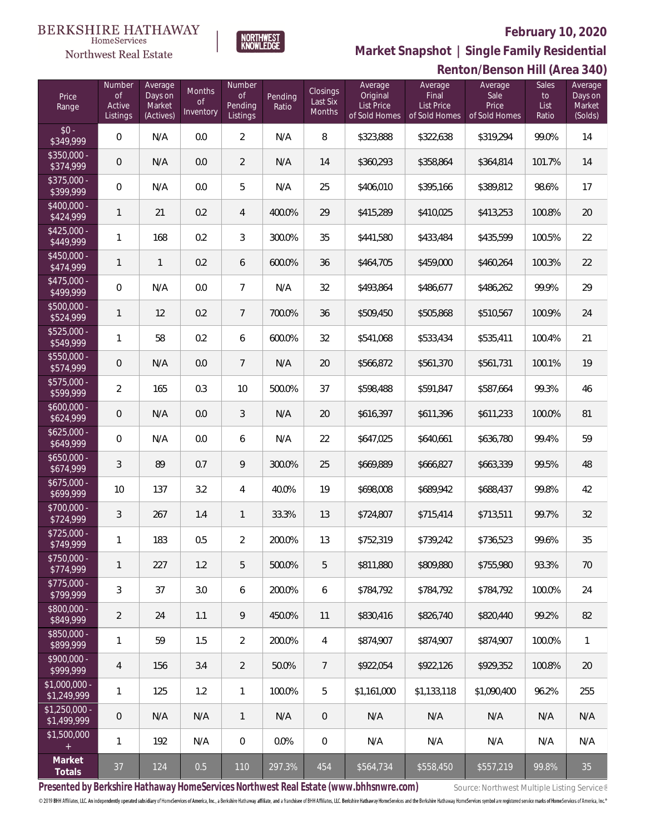

## **Renton/Benson Hill (Area 340) Market Snapshot | Single Family Residential**

| <b>HomeServices</b>   |  |
|-----------------------|--|
| Northwest Real Estate |  |

BERKSHIRE HATHAWAY

| Price<br>Range                  | Number<br>$\circ$ f<br>Active<br>Listings | Average<br>Days on<br>Market<br>(Actives) | Months<br><b>of</b><br>Inventory | Number<br><b>of</b><br>Pending<br>Listings | Pending<br>Ratio | <b>Closings</b><br>Last Six<br><b>Months</b> | Average<br>Original<br>List Price<br>of Sold Homes | Average<br>Final<br>List Price<br>of Sold Homes | Average<br>Sale<br>Price<br>of Sold Homes | Sales<br>to<br>List<br>Ratio | Average<br>Days on<br>Market<br>(Solds) |
|---------------------------------|-------------------------------------------|-------------------------------------------|----------------------------------|--------------------------------------------|------------------|----------------------------------------------|----------------------------------------------------|-------------------------------------------------|-------------------------------------------|------------------------------|-----------------------------------------|
| $$0 -$<br>\$349,999             | $\mathbf 0$                               | N/A                                       | 0.0                              | $\overline{2}$                             | N/A              | 8                                            | \$323,888                                          | \$322,638                                       | \$319,294                                 | 99.0%                        | 14                                      |
| $$350,000 -$<br>\$374,999       | $\theta$                                  | N/A                                       | 0.0                              | $\overline{2}$                             | N/A              | 14                                           | \$360,293                                          | \$358,864                                       | \$364,814                                 | 101.7%                       | 14                                      |
| $$375,000 -$<br>\$399,999       | $\mathbf 0$                               | N/A                                       | 0.0                              | 5                                          | N/A              | 25                                           | \$406,010                                          | \$395,166                                       | \$389,812                                 | 98.6%                        | 17                                      |
| $$400,000 -$<br>\$424,999       | 1                                         | 21                                        | 0.2                              | $\overline{4}$                             | 400.0%           | 29                                           | \$415,289                                          | \$410,025                                       | \$413,253                                 | 100.8%                       | 20                                      |
| $$425,000 -$<br>\$449,999       | 1                                         | 168                                       | 0.2                              | 3                                          | 300.0%           | 35                                           | \$441,580                                          | \$433,484                                       | \$435,599                                 | 100.5%                       | 22                                      |
| $$450,000 -$<br>\$474,999       | 1                                         | $\mathbf{1}$                              | 0.2                              | 6                                          | 600.0%           | 36                                           | \$464,705                                          | \$459,000                                       | \$460,264                                 | 100.3%                       | 22                                      |
| $$475,000 -$<br>\$499,999       | $\mathbf 0$                               | N/A                                       | 0.0                              | $\overline{7}$                             | N/A              | 32                                           | \$493,864                                          | \$486,677                                       | \$486,262                                 | 99.9%                        | 29                                      |
| $$500,000 -$<br>\$524,999       | 1                                         | 12                                        | 0.2                              | 7                                          | 700.0%           | 36                                           | \$509,450                                          | \$505,868                                       | \$510,567                                 | 100.9%                       | 24                                      |
| $$525,000 -$<br>\$549,999       | 1                                         | 58                                        | 0.2                              | 6                                          | 600.0%           | 32                                           | \$541,068                                          | \$533,434                                       | \$535,411                                 | 100.4%                       | 21                                      |
| $$550,000 -$<br>\$574,999       | $\mathbf 0$                               | N/A                                       | 0.0                              | 7                                          | N/A              | 20                                           | \$566,872                                          | \$561,370                                       | \$561,731                                 | 100.1%                       | 19                                      |
| $$575,000 -$<br>\$599,999       | $\overline{2}$                            | 165                                       | 0.3                              | 10                                         | 500.0%           | 37                                           | \$598,488                                          | \$591,847                                       | \$587,664                                 | 99.3%                        | 46                                      |
| $$600,000 -$<br>\$624,999       | $\mathbf 0$                               | N/A                                       | 0.0                              | 3                                          | N/A              | 20                                           | \$616,397                                          | \$611,396                                       | \$611,233                                 | 100.0%                       | 81                                      |
| $$625,000 -$<br>\$649,999       | $\mathbf 0$                               | N/A                                       | 0.0                              | 6                                          | N/A              | 22                                           | \$647,025                                          | \$640,661                                       | \$636,780                                 | 99.4%                        | 59                                      |
| $$650,000 -$<br>\$674,999       | 3                                         | 89                                        | 0.7                              | 9                                          | 300.0%           | 25                                           | \$669,889                                          | \$666,827                                       | \$663,339                                 | 99.5%                        | 48                                      |
| $$675,000 -$<br>\$699,999       | 10                                        | 137                                       | 3.2                              | 4                                          | 40.0%            | 19                                           | \$698,008                                          | \$689,942                                       | \$688,437                                 | 99.8%                        | 42                                      |
| $$700,000 -$<br>\$724,999       | 3                                         | 267                                       | 1.4                              | 1                                          | 33.3%            | 13                                           | \$724,807                                          | \$715,414                                       | \$713,511                                 | 99.7%                        | 32                                      |
| $$725,000 -$<br>\$749,999       | 1                                         | 183                                       | 0.5                              | $\overline{2}$                             | 200.0%           | 13                                           | \$752,319                                          | \$739,242                                       | \$736,523                                 | 99.6%                        | 35                                      |
| $$750,000 -$<br>\$774,999       | $\mathbf{1}$                              | 227                                       | 1.2                              | 5                                          | 500.0%           | 5                                            | \$811,880                                          | \$809,880                                       | \$755,980                                 | 93.3%                        | 70                                      |
| $$775,000 -$<br>\$799,999       | $\mathfrak{Z}$                            | 37                                        | 3.0                              | 6                                          | 200.0%           | 6                                            | \$784,792                                          | \$784,792                                       | \$784,792                                 | 100.0%                       | 24                                      |
| $$800,000 -$<br>\$849,999       | 2                                         | 24                                        | 1.1                              | 9                                          | 450.0%           | 11                                           | \$830,416                                          | \$826,740                                       | \$820,440                                 | 99.2%                        | 82                                      |
| $$850,000 -$<br>\$899,999       | $\mathbf{1}$                              | 59                                        | 1.5                              | $\overline{2}$                             | 200.0%           | $\overline{4}$                               | \$874,907                                          | \$874,907                                       | \$874,907                                 | 100.0%                       | $\mathbf{1}$                            |
| $$900,000 -$<br>\$999,999       | $\overline{4}$                            | 156                                       | 3.4                              | $\overline{2}$                             | 50.0%            | $\overline{7}$                               | \$922,054                                          | \$922,126                                       | \$929,352                                 | 100.8%                       | $20\,$                                  |
| $$1,000,000 -$<br>\$1,249,999   | $\mathbf{1}$                              | 125                                       | 1.2                              | 1                                          | 100.0%           | 5                                            | \$1,161,000                                        | \$1,133,118                                     | \$1,090,400                               | 96.2%                        | 255                                     |
| $$1,250,000 -$<br>\$1,499,999   | $\theta$                                  | N/A                                       | N/A                              | 1                                          | N/A              | $\theta$                                     | N/A                                                | N/A                                             | N/A                                       | N/A                          | N/A                                     |
| \$1,500,000<br>$\boldsymbol{+}$ | $\mathbf{1}$                              | 192                                       | N/A                              | 0                                          | 0.0%             | $\mathbf 0$                                  | N/A                                                | N/A                                             | N/A                                       | N/A                          | N/A                                     |
| Market<br>Totals                | 37                                        | 124                                       | 0.5                              | $110$                                      | 297.3%           | 454                                          | \$564,734                                          | \$558,450                                       | \$557,219                                 | 99.8%                        | 35                                      |

Presented by Berkshire Hathaway HomeServices Northwest Real Estate (www.bhhsnwre.com) Source: Northwest Multiple Listing Service®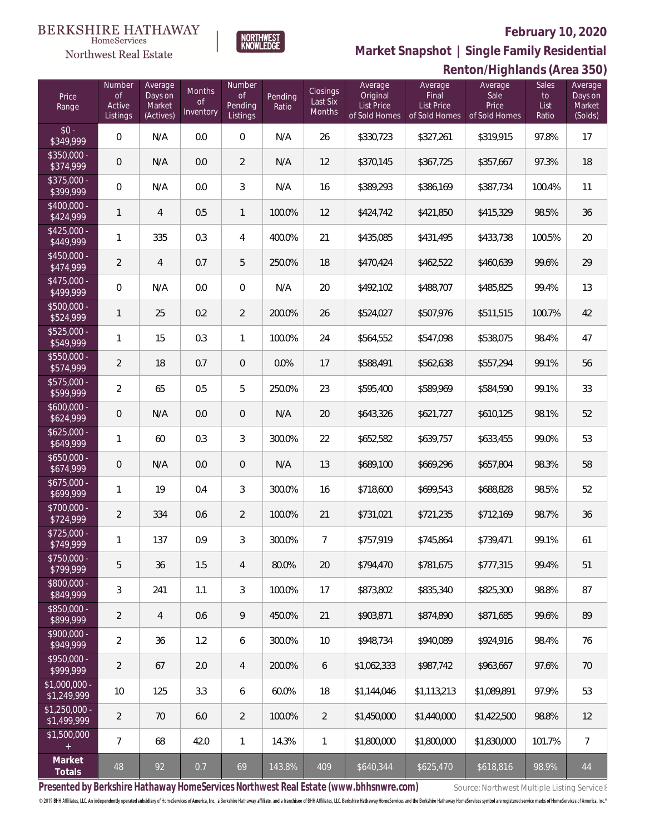Sales List Ratio Average Days on Market (Solds)



**BERKSHIRE HATHAWAY** 

**Renton/Highlands (Area 350) Market Snapshot | Single Family Residential**

#### HomeServices **Northwest Real Estate** Number Average Number Average Average Average Months Closings Days on **Original** Final Sale Price of Pending Last Six Pending Active Market List Price List Price Price Range Ratio Inventory Months of Sold Homes of Sold Homes Listings (Actives) **Listings** of Sold Homes  $\overline{\bullet}$ \$350,000 - \$375,000 - \$400,000 - \$425,000 -

| \$349,999                                       | $\mathbf{0}$   | N/A            | 0.0  | $\mathbf{0}$   | N/A    | 26             | \$330,723   | \$327,261   | \$319,915   | 97.8%  | 17             |
|-------------------------------------------------|----------------|----------------|------|----------------|--------|----------------|-------------|-------------|-------------|--------|----------------|
| $$350,000 -$<br>\$374,999                       | $\overline{0}$ | N/A            | 0.0  | 2              | N/A    | 12             | \$370,145   | \$367,725   | \$357,667   | 97.3%  | 18             |
| $$375,000 -$<br>\$399,999                       | $\overline{0}$ | N/A            | 0.0  | 3              | N/A    | 16             | \$389,293   | \$386,169   | \$387,734   | 100.4% | 11             |
| $$400,000 -$<br>\$424,999                       | 1              | $\overline{4}$ | 0.5  | $\mathbf{1}$   | 100.0% | 12             | \$424,742   | \$421,850   | \$415,329   | 98.5%  | 36             |
| $$425,000 -$<br>\$449,999                       | 1              | 335            | 0.3  | $\overline{4}$ | 400.0% | 21             | \$435,085   | \$431,495   | \$433,738   | 100.5% | 20             |
| $$450,000 -$<br>\$474,999                       | $\overline{2}$ | $\overline{4}$ | 0.7  | 5              | 250.0% | 18             | \$470,424   | \$462,522   | \$460,639   | 99.6%  | 29             |
| $$475,000 -$<br>\$499,999                       | $\overline{0}$ | N/A            | 0.0  | $\overline{0}$ | N/A    | 20             | \$492,102   | \$488,707   | \$485,825   | 99.4%  | 13             |
| \$500,000 -<br>\$524,999                        | 1              | 25             | 0.2  | $\overline{2}$ | 200.0% | 26             | \$524,027   | \$507,976   | \$511,515   | 100.7% | 42             |
| $$525,000 -$<br>\$549,999                       | 1              | 15             | 0.3  | $\mathbf{1}$   | 100.0% | 24             | \$564,552   | \$547,098   | \$538,075   | 98.4%  | 47             |
| \$550,000 -<br>\$574,999                        | $\overline{2}$ | 18             | 0.7  | $\overline{0}$ | 0.0%   | 17             | \$588,491   | \$562,638   | \$557,294   | 99.1%  | 56             |
| $$575,000 -$<br>\$599,999                       | $\overline{2}$ | 65             | 0.5  | 5              | 250.0% | 23             | \$595,400   | \$589,969   | \$584,590   | 99.1%  | 33             |
| $$600,000 -$<br>\$624,999                       | $\overline{0}$ | N/A            | 0.0  | $\overline{0}$ | N/A    | 20             | \$643,326   | \$621,727   | \$610,125   | 98.1%  | 52             |
| $$625,000 -$<br>\$649,999                       | $\mathbf{1}$   | 60             | 0.3  | 3              | 300.0% | 22             | \$652,582   | \$639,757   | \$633,455   | 99.0%  | 53             |
| $$650,000 -$<br>\$674,999                       | $\overline{0}$ | N/A            | 0.0  | $\overline{0}$ | N/A    | 13             | \$689,100   | \$669,296   | \$657,804   | 98.3%  | 58             |
| $$675,000 -$<br>\$699,999                       | 1              | 19             | 0.4  | 3              | 300.0% | 16             | \$718,600   | \$699,543   | \$688,828   | 98.5%  | 52             |
| \$700,000 -<br>\$724,999                        | $\overline{2}$ | 334            | 0.6  | $\overline{2}$ | 100.0% | 21             | \$731,021   | \$721,235   | \$712,169   | 98.7%  | 36             |
| $$725,000 -$<br>\$749,999                       | 1              | 137            | 0.9  | 3              | 300.0% | $\overline{7}$ | \$757,919   | \$745,864   | \$739,471   | 99.1%  | 61             |
| $$750,000 -$<br>\$799,999                       | 5              | 36             | 1.5  | 4              | 80.0%  | 20             | \$794,470   | \$781,675   | \$777,315   | 99.4%  | 51             |
| \$800,000 -<br>\$849,999                        | 3              | 241            | 1.1  | 3              | 100.0% | 17             | \$873,802   | \$835,340   | \$825,300   | 98.8%  | 87             |
| $$850,000 -$<br>\$899,999                       | $\overline{2}$ | $\overline{4}$ | 0.6  | 9              | 450.0% | 21             | \$903,871   | \$874,890   | \$871,685   | 99.6%  | 89             |
| \$900,000 -<br>\$949,999                        | $\overline{2}$ | 36             | 1.2  | 6              | 300.0% | 10             | \$948,734   | \$940,089   | \$924,916   | 98.4%  | 76             |
| \$950,000 -<br>\$999,999                        | $\overline{2}$ | 67             | 2.0  | 4              | 200.0% | 6              | \$1,062,333 | \$987,742   | \$963,667   | 97.6%  | 70             |
| $$1,000,000 -$<br>\$1,249,999                   | 10             | 125            | 3.3  | 6              | 60.0%  | 18             | \$1,144,046 | \$1,113,213 | \$1,089,891 | 97.9%  | 53             |
| $$1,250,000 -$<br>\$1,499,999                   | $\overline{2}$ | 70             | 6.0  | $\overline{2}$ | 100.0% | $\overline{2}$ | \$1,450,000 | \$1,440,000 | \$1,422,500 | 98.8%  | 12             |
| \$1,500,000<br>$\begin{array}{c} + \end{array}$ | $\overline{7}$ | 68             | 42.0 | $\mathbf{1}$   | 14.3%  | 1              | \$1,800,000 | \$1,800,000 | \$1,830,000 | 101.7% | $\overline{7}$ |
| Market<br>Totals                                | 48             | 92             | 0.7  | 69             | 143.8% | 409            | \$640,344   | \$625,470   | \$618,816   | 98.9%  | $44\,$         |

Presented by Berkshire Hathaway HomeServices Northwest Real Estate (www.bhhsnwre.com) Source: Northwest Multiple Listing Service®